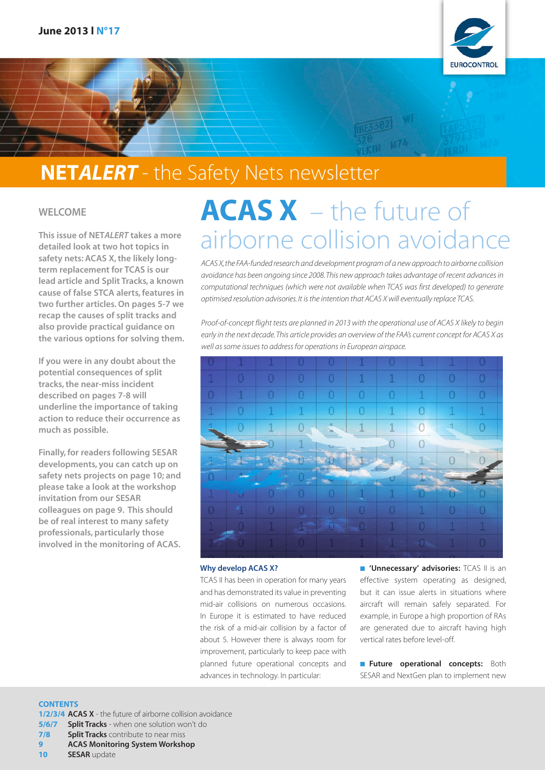

## NET*ALERT* - the Safety Nets newsletter

### WELCOME

This issue of NET*ALERT* takes a more detailed look at two hot topics in safety nets: ACAS X, the likely longterm replacement for TCAS is our lead article and Split Tracks, a known cause of false STCA alerts, features in two further articles. On pages 5-7 we recap the causes of split tracks and also provide practical guidance on the various options for solving them.

If you were in any doubt about the potential consequences of split tracks, the near-miss incident described on pages 7-8 will underline the importance of taking action to reduce their occurrence as much as possible.

Finally, for readers following SESAR developments, you can catch up on safety nets projects on page 10; and please take a look at the workshop invitation from our SESAR colleagues on page 9. This should be of real interest to many safety professionals, particularly those involved in the monitoring of ACAS.

# ACAS X – the future of airborne collision avoidance

*ACAS X, the FAA-funded research and development program of a new approach to airborne collision avoidance has been ongoing since 2008. This new approach takes advantage of recent advances in computational techniques (which were not available when TCAS was first developed) to generate optimised resolution advisories. It is the intention that ACAS X will eventually replace TCAS.*

*Proof-of-concept flight tests are planned in 2013 with the operational use of ACAS X likely to begin early in the next decade. This article provides an overview of the FAA's current concept for ACAS X as well as some issues to address for operations in European airspace.*



### Why develop ACAS X?

TCAS II has been in operation for many years and has demonstrated its value in preventing mid-air collisions on numerous occasions. In Europe it is estimated to have reduced the risk of a mid-air collision by a factor of about 5. However there is always room for improvement, particularly to keep pace with planned future operational concepts and advances in technology. In particular:

■ 'Unnecessary' advisories: TCAS II is an effective system operating as designed, but it can issue alerts in situations where aircraft will remain safely separated. For example, in Europe a high proportion of RAs are generated due to aircraft having high vertical rates before level-off.

**Future operational concepts:** Both SESAR and NextGen plan to implement new

### **CONTENTS**

1/2/3/4 ACAS X - the future of airborne collision avoidance **5/6/7 Split Tracks** - when one solution won't do

**7/8** Split Tracks contribute to near miss

9 ACAS Monitoring System Workshop

10 **SESAR** update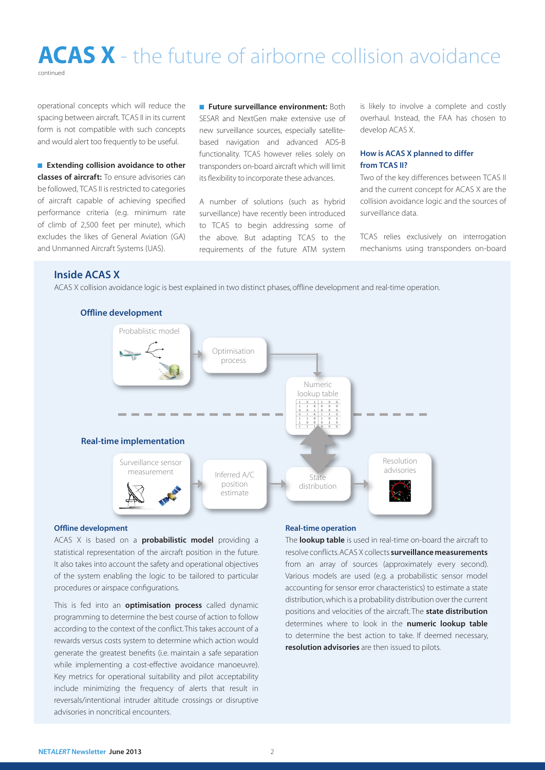### ACAS X - the future of airborne collision avoidance continued

operational concepts which will reduce the spacing between aircraft. TCAS II in its current form is not compatible with such concepts and would alert too frequently to be useful.

■ Extending collision avoidance to other classes of aircraft: To ensure advisories can be followed, TCAS II is restricted to categories of aircraft capable of achieving specified performance criteria (e.g. minimum rate of climb of 2,500 feet per minute), which excludes the likes of General Aviation (GA) and Unmanned Aircraft Systems (UAS).

■ Future surveillance environment: Both SESAR and NextGen make extensive use of new surveillance sources, especially satellitebased navigation and advanced ADS-B functionality. TCAS however relies solely on transponders on-board aircraft which will limit its flexibility to incorporate these advances.

A number of solutions (such as hybrid surveillance) have recently been introduced to TCAS to begin addressing some of the above. But adapting TCAS to the requirements of the future ATM system is likely to involve a complete and costly overhaul. Instead, the FAA has chosen to develop ACAS X.

### How is ACAS X planned to differ from TCAS II?

Two of the key differences between TCAS II and the current concept for ACAS X are the collision avoidance logic and the sources of surveillance data.

TCAS relies exclusively on interrogation mechanisms using transponders on-board

### Inside ACAS X

ACAS X collision avoidance logic is best explained in two distinct phases, offline development and real-time operation.



### Offline development

#### Offline development

ACAS X is based on a **probabilistic model** providing a statistical representation of the aircraft position in the future. It also takes into account the safety and operational objectives of the system enabling the logic to be tailored to particular procedures or airspace configurations.

This is fed into an **optimisation process** called dynamic programming to determine the best course of action to follow according to the context of the conflict. This takes account of a rewards versus costs system to determine which action would generate the greatest benefits (i.e. maintain a safe separation while implementing a cost-effective avoidance manoeuvre). Key metrics for operational suitability and pilot acceptability include minimizing the frequency of alerts that result in reversals/intentional intruder altitude crossings or disruptive advisories in noncritical encounters.

### Real-time operation

The **lookup table** is used in real-time on-board the aircraft to resolve conflicts. ACAS X collects **surveillance measurements** from an array of sources (approximately every second). Various models are used (e.g. a probabilistic sensor model accounting for sensor error characteristics) to estimate a state distribution, which is a probability distribution over the current positions and velocities of the aircraft. The **state distribution** determines where to look in the numeric lookup table to determine the best action to take. If deemed necessary, resolution advisories are then issued to pilots.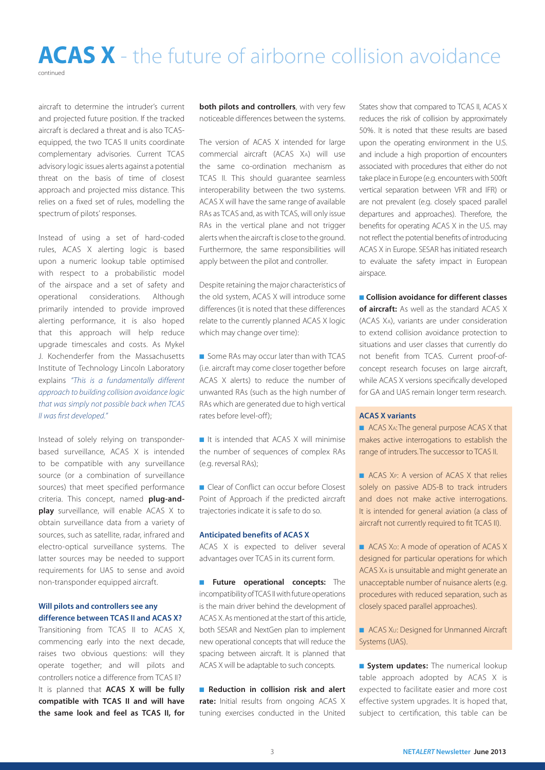### ACAS X - the future of airborne collision avoidance continued

aircraft to determine the intruder's current and projected future position. If the tracked aircraft is declared a threat and is also TCASequipped, the two TCAS II units coordinate complementary advisories. Current TCAS advisory logic issues alerts against a potential threat on the basis of time of closest approach and projected miss distance. This relies on a fixed set of rules, modelling the spectrum of pilots' responses.

Instead of using a set of hard-coded rules, ACAS X alerting logic is based upon a numeric lookup table optimised with respect to a probabilistic model of the airspace and a set of safety and operational considerations. Although primarily intended to provide improved alerting performance, it is also hoped that this approach will help reduce upgrade timescales and costs. As Mykel J. Kochenderfer from the Massachusetts Institute of Technology Lincoln Laboratory explains *"This is a fundamentally different approach to building collision avoidance logic that was simply not possible back when TCAS II was first developed."*

Instead of solely relying on transponderbased surveillance, ACAS X is intended to be compatible with any surveillance source (or a combination of surveillance sources) that meet specified performance criteria. This concept, named plug-and**play** surveillance, will enable ACAS X to obtain surveillance data from a variety of sources, such as satellite, radar, infrared and electro-optical surveillance systems. The latter sources may be needed to support requirements for UAS to sense and avoid non-transponder equipped aircraft.

### Will pilots and controllers see any difference between TCAS II and ACAS X?

Transitioning from TCAS II to ACAS X, commencing early into the next decade, raises two obvious questions: will they operate together; and will pilots and controllers notice a difference from TCAS II? It is planned that **ACAS X will be fully** compatible with TCAS II and will have the same look and feel as TCAS II, for

both pilots and controllers, with very few noticeable differences between the systems.

The version of ACAS X intended for large commercial aircraft (ACAS XA) will use the same co-ordination mechanism as TCAS II. This should guarantee seamless interoperability between the two systems. ACAS X will have the same range of available RAs as TCAS and, as with TCAS, will only issue RAs in the vertical plane and not trigger alerts when the aircraft is close to the ground. Furthermore, the same responsibilities will apply between the pilot and controller.

Despite retaining the major characteristics of the old system, ACAS X will introduce some differences (it is noted that these differences relate to the currently planned ACAS X logic which may change over time):

■ Some RAs may occur later than with TCAS (i.e. aircraft may come closer together before ACAS X alerts) to reduce the number of unwanted RAs (such as the high number of RAs which are generated due to high vertical rates before level-off);

■ It is intended that ACAS X will minimise the number of sequences of complex RAs (e.g. reversal RAs);

■ Clear of Conflict can occur before Closest Point of Approach if the predicted aircraft trajectories indicate it is safe to do so.

### Anticipated benefits of ACAS X

ACAS X is expected to deliver several advantages over TCAS in its current form.

**■ Future operational concepts:** The incompatibility of TCAS II with future operations is the main driver behind the development of ACAS X. As mentioned at the start of this article, both SESAR and NextGen plan to implement new operational concepts that will reduce the spacing between aircraft. It is planned that ACAS X will be adaptable to such concepts.

■ Reduction in collision risk and alert rate: Initial results from ongoing ACAS X tuning exercises conducted in the United States show that compared to TCAS II, ACAS X reduces the risk of collision by approximately 50%. It is noted that these results are based upon the operating environment in the U.S. and include a high proportion of encounters associated with procedures that either do not take place in Europe (e.g. encounters with 500ft vertical separation between VFR and IFR) or are not prevalent (e.g. closely spaced parallel departures and approaches). Therefore, the benefits for operating ACAS X in the U.S. may not reflect the potential benefits of introducing ACAS X in Europe. SESAR has initiated research to evaluate the safety impact in European airspace.

■ Collision avoidance for different classes

of aircraft: As well as the standard ACAS X (ACAS XA), variants are under consideration to extend collision avoidance protection to situations and user classes that currently do not benefit from TCAS. Current proof-ofconcept research focuses on large aircraft, while ACAS X versions specifically developed for GA and UAS remain longer term research.

### ACAS X variants

■ ACAS X<sub>4</sub>: The general purpose ACAS X that makes active interrogations to establish the range of intruders. The successor to TCAS II.

■ ACAS X<sub>P</sub>: A version of ACAS X that relies solely on passive ADS-B to track intruders and does not make active interrogations. It is intended for general aviation (a class of aircraft not currently required to fit TCAS II).

■ ACAS Xo: A mode of operation of ACAS X designed for particular operations for which ACAS XA is unsuitable and might generate an unacceptable number of nuisance alerts (e.g. procedures with reduced separation, such as closely spaced parallel approaches).

■ ACAS X∪: Designed for Unmanned Aircraft Systems (UAS).

**Bystem updates:** The numerical lookup table approach adopted by ACAS X is expected to facilitate easier and more cost effective system upgrades. It is hoped that, subject to certification, this table can be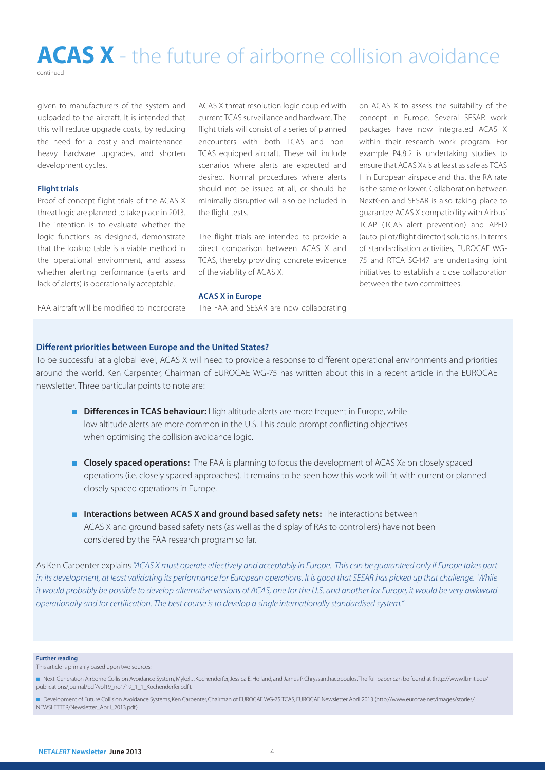## ACAS X - the future of airborne collision avoidance

continued

given to manufacturers of the system and uploaded to the aircraft. It is intended that this will reduce upgrade costs, by reducing the need for a costly and maintenanceheavy hardware upgrades, and shorten development cycles.

#### Flight trials

Proof-of-concept flight trials of the ACAS X threat logic are planned to take place in 2013. The intention is to evaluate whether the logic functions as designed, demonstrate that the lookup table is a viable method in the operational environment, and assess whether alerting performance (alerts and lack of alerts) is operationally acceptable.

ACAS X threat resolution logic coupled with current TCAS surveillance and hardware. The flight trials will consist of a series of planned encounters with both TCAS and non-TCAS equipped aircraft. These will include scenarios where alerts are expected and desired. Normal procedures where alerts should not be issued at all, or should be minimally disruptive will also be included in the flight tests.

The flight trials are intended to provide a direct comparison between ACAS X and TCAS, thereby providing concrete evidence of the viability of ACAS X.

on ACAS X to assess the suitability of the concept in Europe. Several SESAR work packages have now integrated ACAS X within their research work program. For example P4.8.2 is undertaking studies to ensure that ACAS XA is at least as safe as TCAS II in European airspace and that the RA rate is the same or lower. Collaboration between NextGen and SESAR is also taking place to guarantee ACAS X compatibility with Airbus' TCAP (TCAS alert prevention) and APFD (auto-pilot/flight director) solutions. In terms of standardisation activities, EUROCAE WG-75 and RTCA SC-147 are undertaking joint initiatives to establish a close collaboration between the two committees.

FAA aircraft will be modified to incorporate

#### ACAS X in Europe

The FAA and SESAR are now collaborating

### Different priorities between Europe and the United States?

To be successful at a global level, ACAS X will need to provide a response to different operational environments and priorities around the world. Ken Carpenter, Chairman of EUROCAE WG-75 has written about this in a recent article in the EUROCAE newsletter. Three particular points to note are:

- Differences in TCAS behaviour: High altitude alerts are more frequent in Europe, while low altitude alerts are more common in the U.S. This could prompt conflicting objectives when optimising the collision avoidance logic.
- Closely spaced operations: The FAA is planning to focus the development of ACAS X<sub>o</sub> on closely spaced operations (i.e. closely spaced approaches). It remains to be seen how this work will fit with current or planned closely spaced operations in Europe.
- Interactions between ACAS X and ground based safety nets: The interactions between ACAS X and ground based safety nets (as well as the display of RAs to controllers) have not been considered by the FAA research program so far.

As Ken Carpenter explains*"ACAS X must operate effectively and acceptably in Europe. This can be guaranteed only if Europe takes part*  in its development, at least validating its performance for European operations. It is good that SESAR has picked up that challenge. While *it would probably be possible to develop alternative versions of ACAS, one for the U.S. and another for Europe, it would be very awkward operationally and for certification. The best course is to develop a single internationally standardised system."*

#### Further reading

This article is primarily based upon two sources:

■ Next-Generation Airborne Collision Avoidance System, Mykel J. Kochenderfer, Jessica E. Holland, and James P. Chryssanthacopoulos. The full paper can be found at (http://www.ll.mit.edu/ publications/journal/pdf/vol19\_no1/19\_1\_1\_Kochenderfer.pdf).

■ Development of Future Collision Avoidance Systems, Ken Carpenter, Chairman of EUROCAE WG-75 TCAS, EUROCAE Newsletter April 2013 (http://www.eurocae.net/images/stories/ NEWSLETTER/Newsletter\_April\_2013.pdf).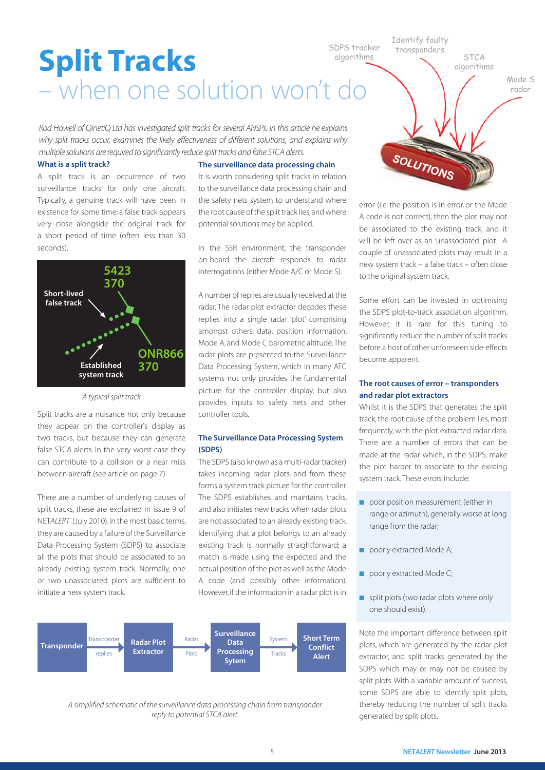SDPS tracker algorithms

Identify faulty transponders

SOLUTIONS

Mode S algorithms

**STCA** 

radar

## Split Tracks – when one solution won't do

*Rod Howell of QinetiQ Ltd has investigated split tracks for several ANSPs. In this article he explains why split tracks occur, examines the likely effectiveness of different solutions, and explains why multiple solutions are required to significantly reduce split tracks and false STCA alerts.*

### What is a split track?

A split track is an occurrence of two surveillance tracks for only one aircraft. Typically, a genuine track will have been in existence for some time; a false track appears very close alongside the original track for a short period of time (often less than 30 seconds).



*A typical split track*

Split tracks are a nuisance not only because they appear on the controller's display as two tracks, but because they can generate false STCA alerts. In the very worst case they can contribute to a collision or a near miss between aircraft (see article on page 7).

There are a number of underlying causes of split tracks, these are explained in issue 9 of NET*ALERT* (July 2010). In the most basic terms, they are caused by a failure of the Surveillance Data Processing System (SDPS) to associate all the plots that should be associated to an already existing system track. Normally, one or two unassociated plots are sufficient to initiate a new system track.

### The surveillance data processing chain

It is worth considering split tracks in relation to the surveillance data processing chain and the safety nets system to understand where the root cause of the split track lies, and where potential solutions may be applied.

In the SSR environment, the transponder on-board the aircraft responds to radar interrogations (either Mode A/C or Mode S).

A number of replies are usually received at the radar. The radar plot extractor decodes these replies into a single radar 'plot' comprising amongst others: data, position information, Mode A, and Mode C barometric altitude. The radar plots are presented to the Surveillance Data Processing System, which in many ATC systems not only provides the fundamental picture for the controller display, but also provides inputs to safety nets and other controller tools.

### The Surveillance Data Processing System (SDPS)

The SDPS (also known as a multi-radar tracker) takes incoming radar plots, and from these forms a system track picture for the controller. The SDPS establishes and maintains tracks, and also initiates new tracks when radar plots are not associated to an already existing track. Identifying that a plot belongs to an already existing track is normally straightforward; a match is made using the expected and the actual position of the plot as well as the Mode A code (and possibly other information). However, if the information in a radar plot is in



*A simplified schematic of the surveillance data processing chain from transponder reply to potential STCA alert.*

error (i.e. the position is in error, or the Mode A code is not correct), then the plot may not be associated to the existing track, and it will be left over as an 'unassociated' plot. A couple of unassociated plots may result in a new system track – a false track – often close to the original system track.

Some effort can be invested in optimising the SDPS plot-to-track association algorithm. However, it is rare for this tuning to significantly reduce the number of split tracks before a host of other unforeseen side-effects become apparent.

### The root causes of error – transponders and radar plot extractors

Whilst it is the SDPS that generates the split track, the root cause of the problem lies, most frequently, with the plot extracted radar data. There are a number of errors that can be made at the radar which, in the SDPS, make the plot harder to associate to the existing system track. These errors include:

- poor position measurement (either in range or azimuth), generally worse at long range from the radar;
- poorly extracted Mode A;
- poorly extracted Mode C;
- split plots (two radar plots where only one should exist).

Note the important difference between split plots, which are generated by the radar plot extractor, and split tracks generated by the SDPS which may or may not be caused by split plots. With a variable amount of success, some SDPS are able to identify split plots, thereby reducing the number of split tracks generated by split plots.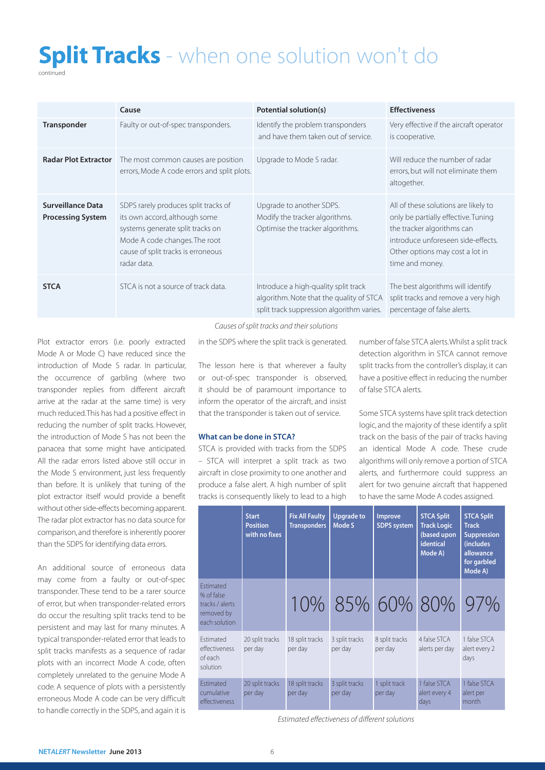# **Split Tracks** - when one solution won't do

continued

|                                                      | Cause                                                                                                                                                                                           | Potential solution(s)                                                                                                         | <b>Effectiveness</b>                                                                                                                                                                                  |
|------------------------------------------------------|-------------------------------------------------------------------------------------------------------------------------------------------------------------------------------------------------|-------------------------------------------------------------------------------------------------------------------------------|-------------------------------------------------------------------------------------------------------------------------------------------------------------------------------------------------------|
| Transponder                                          | Faulty or out-of-spec transponders.                                                                                                                                                             | Identify the problem transponders<br>and have them taken out of service.                                                      | Very effective if the aircraft operator<br>is cooperative.                                                                                                                                            |
| <b>Radar Plot Extractor</b>                          | The most common causes are position<br>errors, Mode A code errors and split plots.                                                                                                              | Upgrade to Mode S radar.                                                                                                      | Will reduce the number of radar<br>errors, but will not eliminate them<br>altogether.                                                                                                                 |
| <b>Surveillance Data</b><br><b>Processing System</b> | SDPS rarely produces split tracks of<br>its own accord, although some<br>systems generate split tracks on<br>Mode A code changes. The root<br>cause of split tracks is erroneous<br>radar data. | Upgrade to another SDPS.<br>Modify the tracker algorithms.<br>Optimise the tracker algorithms.                                | All of these solutions are likely to<br>only be partially effective. Tuning<br>the tracker algorithms can<br>introduce unforeseen side-effects.<br>Other options may cost a lot in<br>time and money. |
| <b>STCA</b>                                          | STCA is not a source of track data.                                                                                                                                                             | Introduce a high-quality split track<br>algorithm. Note that the quality of STCA<br>split track suppression algorithm varies. | The best algorithms will identify<br>split tracks and remove a very high<br>percentage of false alerts.                                                                                               |

*Causes of split tracks and their solutions*

in the SDPS where the split track is generated.

Plot extractor errors (i.e. poorly extracted Mode A or Mode C) have reduced since the introduction of Mode S radar. In particular, the occurrence of garbling (where two transponder replies from different aircraft arrive at the radar at the same time) is very much reduced. This has had a positive effect in reducing the number of split tracks. However, the introduction of Mode S has not been the panacea that some might have anticipated. All the radar errors listed above still occur in the Mode S environment, just less frequently than before. It is unlikely that tuning of the plot extractor itself would provide a benefit without other side-effects becoming apparent. The radar plot extractor has no data source for comparison, and therefore is inherently poorer than the SDPS for identifying data errors.

An additional source of erroneous data may come from a faulty or out-of-spec transponder. These tend to be a rarer source of error, but when transponder-related errors do occur the resulting split tracks tend to be persistent and may last for many minutes. A typical transponder-related error that leads to split tracks manifests as a sequence of radar plots with an incorrect Mode A code, often completely unrelated to the genuine Mode A code. A sequence of plots with a persistently erroneous Mode A code can be very difficult to handle correctly in the SDPS, and again it is

The lesson here is that wherever a faulty or out-of-spec transponder is observed, it should be of paramount importance to inform the operator of the aircraft, and insist that the transponder is taken out of service.

### What can be done in STCA?

STCA is provided with tracks from the SDPS – STCA will interpret a split track as two aircraft in close proximity to one another and produce a false alert. A high number of split tracks is consequently likely to lead to a high number of false STCA alerts. Whilst a split track detection algorithm in STCA cannot remove split tracks from the controller's display, it can have a positive effect in reducing the number of false STCA alerts.

Some STCA systems have split track detection logic, and the majority of these identify a split track on the basis of the pair of tracks having an identical Mode A code. These crude algorithms will only remove a portion of STCA alerts, and furthermore could suppress an alert for two genuine aircraft that happened to have the same Mode A codes assigned.

|                                                                                  | <b>Start</b><br><b>Position</b><br>with no fixes | <b>Fix All Faulty</b><br><b>Transponders</b> | <b>Upgrade to</b><br>Mode S | <b>Improve</b><br><b>SDPS</b> system | <b>STCA Split</b><br><b>Track Logic</b><br>(based upon<br><b>identical</b><br>Mode A) | <b>STCA Split</b><br><b>Track</b><br><b>Suppression</b><br>(includes<br>allowance<br>for garbled<br>Mode A) |
|----------------------------------------------------------------------------------|--------------------------------------------------|----------------------------------------------|-----------------------------|--------------------------------------|---------------------------------------------------------------------------------------|-------------------------------------------------------------------------------------------------------------|
| <b>Fstimated</b><br>% of false<br>tracks / alerts<br>removed by<br>each solution |                                                  |                                              |                             |                                      | 10% 85% 60% 80% 97%                                                                   |                                                                                                             |
| Estimated<br>effectiveness<br>of each<br>solution                                | 20 split tracks<br>per day                       | 18 split tracks<br>per day                   | 3 split tracks<br>per day   | 8 split tracks<br>per day            | 4 false STCA<br>alerts per day                                                        | 1 false STCA<br>alert every 2<br>days                                                                       |
| <b>Fstimated</b><br>cumulative<br>effectiveness                                  | 20 split tracks<br>per day                       | 18 split tracks<br>per day                   | 3 split tracks<br>per day   | 1 split track<br>per day             | 1 false STCA<br>alert every 4<br>days                                                 | 1 false STCA<br>alert per<br>month                                                                          |

*Estimated effectiveness of different solutions*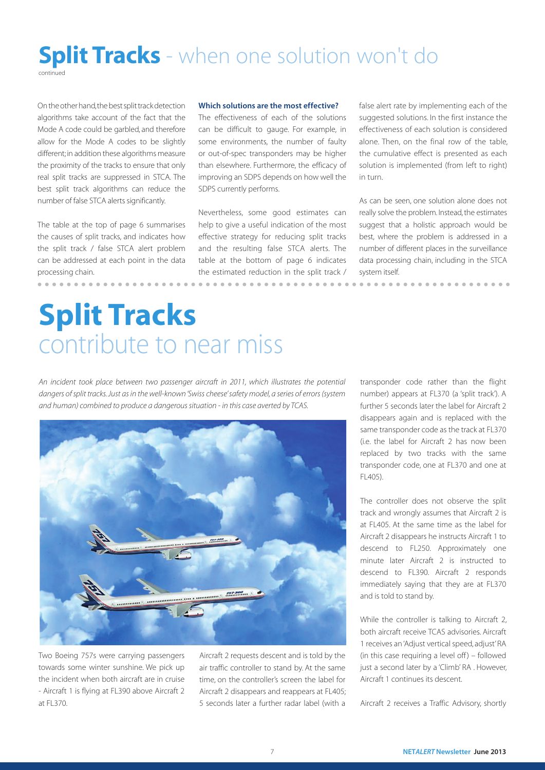### **Split Tracks** - when one solution won't do continued

On the other hand, the best split track detection algorithms take account of the fact that the Mode A code could be garbled, and therefore allow for the Mode A codes to be slightly different; in addition these algorithms measure the proximity of the tracks to ensure that only real split tracks are suppressed in STCA. The best split track algorithms can reduce the number of false STCA alerts significantly.

The table at the top of page 6 summarises the causes of split tracks, and indicates how the split track / false STCA alert problem can be addressed at each point in the data processing chain.

### Which solutions are the most effective?

The effectiveness of each of the solutions can be difficult to gauge. For example, in some environments, the number of faulty or out-of-spec transponders may be higher than elsewhere. Furthermore, the efficacy of improving an SDPS depends on how well the SDPS currently performs.

Nevertheless, some good estimates can help to give a useful indication of the most effective strategy for reducing split tracks and the resulting false STCA alerts. The table at the bottom of page 6 indicates the estimated reduction in the split track / false alert rate by implementing each of the suggested solutions. In the first instance the effectiveness of each solution is considered alone. Then, on the final row of the table, the cumulative effect is presented as each solution is implemented (from left to right) in turn.

As can be seen, one solution alone does not really solve the problem. Instead, the estimates suggest that a holistic approach would be best, where the problem is addressed in a number of different places in the surveillance data processing chain, including in the STCA system itself.

# Split Tracks contribute to near miss

*An incident took place between two passenger aircraft in 2011, which illustrates the potential dangers of split tracks. Just as in the well-known 'Swiss cheese' safety model, a series of errors (system and human) combined to produce a dangerous situation - in this case averted by TCAS.*



Two Boeing 757s were carrying passengers towards some winter sunshine. We pick up the incident when both aircraft are in cruise - Aircraft 1 is flying at FL390 above Aircraft 2 at FL370.

Aircraft 2 requests descent and is told by the air traffic controller to stand by. At the same time, on the controller's screen the label for Aircraft 2 disappears and reappears at FL405; 5 seconds later a further radar label (with a transponder code rather than the flight number) appears at FL370 (a 'split track'). A further 5 seconds later the label for Aircraft 2 disappears again and is replaced with the same transponder code as the track at FL370 (i.e. the label for Aircraft 2 has now been replaced by two tracks with the same transponder code, one at FL370 and one at FL405).

The controller does not observe the split track and wrongly assumes that Aircraft 2 is at FL405. At the same time as the label for Aircraft 2 disappears he instructs Aircraft 1 to descend to FL250. Approximately one minute later Aircraft 2 is instructed to descend to FL390. Aircraft 2 responds immediately saying that they are at FL370 and is told to stand by.

While the controller is talking to Aircraft 2, both aircraft receive TCAS advisories. Aircraft 1 receives an 'Adjust vertical speed, adjust' RA (in this case requiring a level off) – followed just a second later by a 'Climb' RA . However, Aircraft 1 continues its descent.

Aircraft 2 receives a Traffic Advisory, shortly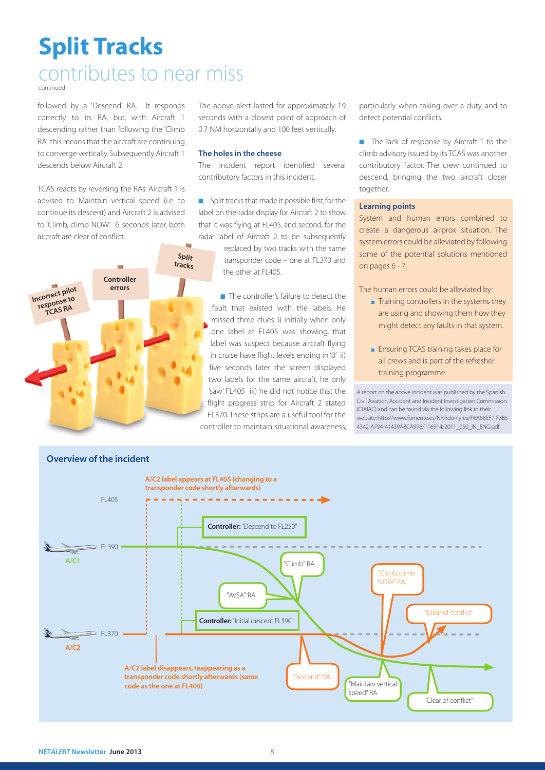# Split Tracks

### contributes to near miss

continued

followed by a 'Descend' RA. It responds correctly to its RA, but, with Aircraft 1 descending rather than following the 'Climb RA', this means that the aircraft are continuing to converge vertically. Subsequently Aircraft 1 descends below Aircraft 2.

TCAS reacts by reversing the RAs: Aircraft 1 is advised to 'Maintain vertical speed' (i.e. to continue its descent) and Aircraft 2 is advised to 'Climb, climb NOW'. 6 seconds later, both aircraft are clear of conflict.



The above alert lasted for approximately 19 seconds with a closest point of approach of 0.7 NM horizontally and 100 feet vertically.

### The holes in the cheese

The incident report identified several contributory factors in this incident.

■ Split tracks that made it possible first, for the label on the radar display for Aircraft 2 to show that it was flying at FL405, and second, for the radar label of Aircraft 2 to be subsequently

> replaced by two tracks with the same transponder code – one at FL370 and the other at FL405.

■ The controller's failure to detect the fault that existed with the labels. He missed three clues: i) initially when only one label at FL405 was showing, that label was suspect because aircraft flying in cruise have flight levels ending in '0' ii) five seconds later the screen displayed two labels for the same aircraft, he only 'saw' FL405 iii) he did not notice that the flight progress strip for Aircraft 2 stated FL370. These strips are a useful tool for the controller to maintain situational awareness, particularly when taking over a duty, and to detect potential conflicts.

■ The lack of response by Aircraft 1 to the climb advisory issued by its TCAS was another contributory factor. The crew continued to descend, bringing the two aircraft closer together.

### Learning points

System and human errors combined to create a dangerous airprox situation. The system errors could be alleviated by following some of the potential solutions mentioned on pages 6 - 7.

The human errors could be alleviated by:

- Training controllers in the systems they are using and showing them how they might detect any faults in that system.
- Ensuring TCAS training takes place for all crews and is part of the refresher training programme.

A report on the above incident was published by the Spanish Civil Aviation Accident and Incident Investigation Commission (CIAIAC) and can be found via the following link to their website: http://www.fomento.es/NR/rdonlyres/F6A58EF7-F3B5- 4342-A794-41439A8CA996/116914/2011\_050\_IN\_ENG.pdf.

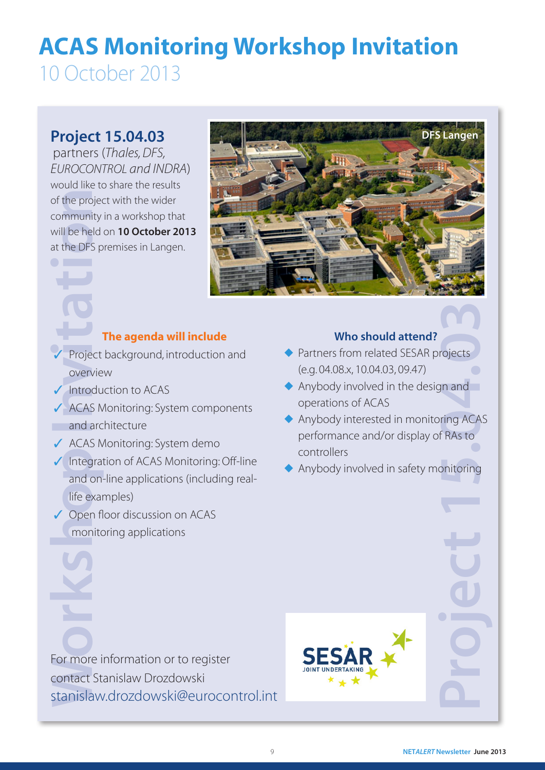## ACAS Monitoring Workshop Invitation 10 October 2013

of the project<br>community<br>will be held<br>at the DFS p<br><br>Project<br>overvie<br>Introdu<br>ACAS M<br>and and on-<br>life exar<br>and on-<br>life exar<br>Open fl<br>monito<br>Monen fl<br>monito<br>Saray<br>Open fl<br>monito<br>Saray<br>Den fl<br>monito<br>Saray<br>Saray<br>Den fl<br>monito<br>S partners (*Thales, DFS, EUROCONTROL and INDRA*) would like to share the results of the project with the wider community in a workshop that will be held on 10 October 2013 at the DFS premises in Langen.



### The agenda will include

- Project background, introduction and overview
- ✓ Introduction to ACAS
- ✓ ACAS Monitoring: System components and architecture
- ✓ ACAS Monitoring: System demo
- ✓ Integration of ACAS Monitoring: Off-line and on-line applications (including reallife examples)
- ✓ Open floor discussion on ACAS monitoring applications

### Who should attend?

- ◆ Partners from related SESAR projects (e.g. 04.08.x, 10.04.03, 09.47)
- ◆ Anybody involved in the design and operations of ACAS
- **CONTRACT SUBSEX STARS TO PROPER CAST** ◆ Anybody interested in monitoring ACAS performance and/or display of RAs to controllers
- ◆ Anybody involved in safety monitoring

For more information or to register contact Stanislaw Drozdowski stanislaw.drozdowski@eurocontrol.int